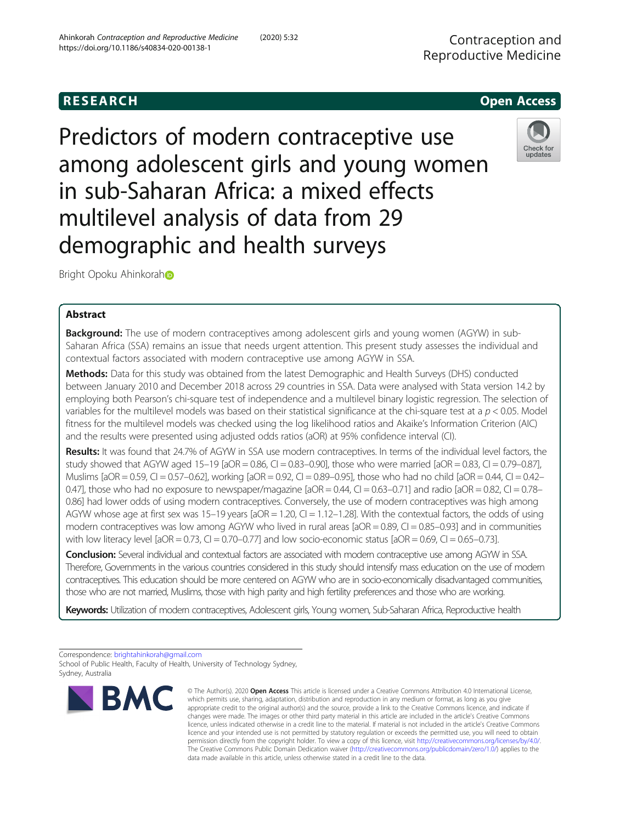# **RESEARCH CHILD CONTROL** CONTROL CONTROL CONTROL CONTROL CONTROL CONTROL CONTROL CONTROL CONTROL CONTROL CONTROL CONTROL CONTROL CONTROL CONTROL CONTROL CONTROL CONTROL CONTROL CONTROL CONTROL CONTROL CONTROL CONTROL CONTR

Predictors of modern contraceptive use among adolescent girls and young women in sub-Saharan Africa: a mixed effects multilevel analysis of data from 29 demographic and health surveys



Brig[h](http://orcid.org/0000-0001-7415-895X)t Opoku Ahinkorah<sup>o</sup>

# Abstract

**Background:** The use of modern contraceptives among adolescent girls and young women (AGYW) in sub-Saharan Africa (SSA) remains an issue that needs urgent attention. This present study assesses the individual and contextual factors associated with modern contraceptive use among AGYW in SSA.

Methods: Data for this study was obtained from the latest Demographic and Health Surveys (DHS) conducted between January 2010 and December 2018 across 29 countries in SSA. Data were analysed with Stata version 14.2 by employing both Pearson's chi-square test of independence and a multilevel binary logistic regression. The selection of variables for the multilevel models was based on their statistical significance at the chi-square test at a  $p < 0.05$ . Model fitness for the multilevel models was checked using the log likelihood ratios and Akaike's Information Criterion (AIC) and the results were presented using adjusted odds ratios (aOR) at 95% confidence interval (CI).

Results: It was found that 24.7% of AGYW in SSA use modern contraceptives. In terms of the individual level factors, the study showed that AGYW aged 15–19 [aOR = 0.86, CI = 0.83–0.90], those who were married [aOR = 0.83, CI = 0.79–0.87], Muslims [aOR = 0.59, CI = 0.57–0.62], working [aOR = 0.92, CI = 0.89–0.95], those who had no child [aOR = 0.44, CI = 0.42– 0.47], those who had no exposure to newspaper/magazine  $[aOR = 0.44, Cl = 0.63-0.71]$  and radio  $[aOR = 0.82, Cl = 0.78-0.71]$ 0.86] had lower odds of using modern contraceptives. Conversely, the use of modern contraceptives was high among AGYW whose age at first sex was 15–19 years [aOR = 1.20, CI = 1.12–1.28]. With the contextual factors, the odds of using modern contraceptives was low among AGYW who lived in rural areas  $[aOR = 0.89, Cl = 0.85 - 0.93]$  and in communities with low literacy level  $[aOR = 0.73, Cl = 0.70-0.77]$  and low socio-economic status  $[aOR = 0.69, Cl = 0.65-0.73]$ .

Conclusion: Several individual and contextual factors are associated with modern contraceptive use among AGYW in SSA. Therefore, Governments in the various countries considered in this study should intensify mass education on the use of modern contraceptives. This education should be more centered on AGYW who are in socio-economically disadvantaged communities, those who are not married, Muslims, those with high parity and high fertility preferences and those who are working.

Keywords: Utilization of modern contraceptives, Adolescent girls, Young women, Sub-Saharan Africa, Reproductive health

Correspondence: [brightahinkorah@gmail.com](mailto:brightahinkorah@gmail.com)

School of Public Health, Faculty of Health, University of Technology Sydney, Sydney, Australia



<sup>©</sup> The Author(s), 2020 **Open Access** This article is licensed under a Creative Commons Attribution 4.0 International License, which permits use, sharing, adaptation, distribution and reproduction in any medium or format, as long as you give appropriate credit to the original author(s) and the source, provide a link to the Creative Commons licence, and indicate if changes were made. The images or other third party material in this article are included in the article's Creative Commons licence, unless indicated otherwise in a credit line to the material. If material is not included in the article's Creative Commons licence and your intended use is not permitted by statutory regulation or exceeds the permitted use, you will need to obtain permission directly from the copyright holder. To view a copy of this licence, visit [http://creativecommons.org/licenses/by/4.0/.](http://creativecommons.org/licenses/by/4.0/) The Creative Commons Public Domain Dedication waiver [\(http://creativecommons.org/publicdomain/zero/1.0/](http://creativecommons.org/publicdomain/zero/1.0/)) applies to the data made available in this article, unless otherwise stated in a credit line to the data.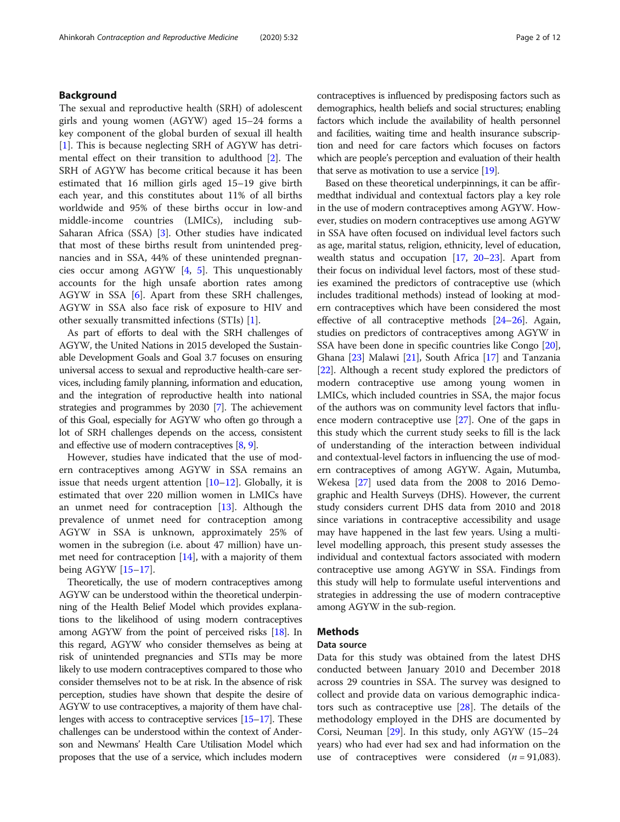# Background

The sexual and reproductive health (SRH) of adolescent girls and young women (AGYW) aged 15–24 forms a key component of the global burden of sexual ill health [[1\]](#page-10-0). This is because neglecting SRH of AGYW has detrimental effect on their transition to adulthood [[2\]](#page-10-0). The SRH of AGYW has become critical because it has been estimated that 16 million girls aged 15–19 give birth each year, and this constitutes about 11% of all births worldwide and 95% of these births occur in low-and middle-income countries (LMICs), including sub-Saharan Africa (SSA) [\[3\]](#page-10-0). Other studies have indicated that most of these births result from unintended pregnancies and in SSA, 44% of these unintended pregnancies occur among AGYW [\[4,](#page-10-0) [5](#page-10-0)]. This unquestionably accounts for the high unsafe abortion rates among AGYW in SSA [\[6](#page-10-0)]. Apart from these SRH challenges, AGYW in SSA also face risk of exposure to HIV and other sexually transmitted infections (STIs) [\[1](#page-10-0)].

As part of efforts to deal with the SRH challenges of AGYW, the United Nations in 2015 developed the Sustainable Development Goals and Goal 3.7 focuses on ensuring universal access to sexual and reproductive health-care services, including family planning, information and education, and the integration of reproductive health into national strategies and programmes by 2030 [\[7\]](#page-10-0). The achievement of this Goal, especially for AGYW who often go through a lot of SRH challenges depends on the access, consistent and effective use of modern contraceptives [\[8,](#page-10-0) [9](#page-10-0)].

However, studies have indicated that the use of modern contraceptives among AGYW in SSA remains an issue that needs urgent attention  $[10-12]$  $[10-12]$  $[10-12]$  $[10-12]$  $[10-12]$ . Globally, it is estimated that over 220 million women in LMICs have an unmet need for contraception [[13](#page-10-0)]. Although the prevalence of unmet need for contraception among AGYW in SSA is unknown, approximately 25% of women in the subregion (i.e. about 47 million) have unmet need for contraception  $[14]$ , with a majority of them being AGYW [\[15](#page-10-0)–[17\]](#page-10-0).

Theoretically, the use of modern contraceptives among AGYW can be understood within the theoretical underpinning of the Health Belief Model which provides explanations to the likelihood of using modern contraceptives among AGYW from the point of perceived risks [[18\]](#page-10-0). In this regard, AGYW who consider themselves as being at risk of unintended pregnancies and STIs may be more likely to use modern contraceptives compared to those who consider themselves not to be at risk. In the absence of risk perception, studies have shown that despite the desire of AGYW to use contraceptives, a majority of them have challenges with access to contraceptive services [\[15](#page-10-0)–[17\]](#page-10-0). These challenges can be understood within the context of Anderson and Newmans' Health Care Utilisation Model which proposes that the use of a service, which includes modern contraceptives is influenced by predisposing factors such as demographics, health beliefs and social structures; enabling factors which include the availability of health personnel and facilities, waiting time and health insurance subscription and need for care factors which focuses on factors which are people's perception and evaluation of their health that serve as motivation to use a service [\[19\]](#page-10-0).

Based on these theoretical underpinnings, it can be affirmedthat individual and contextual factors play a key role in the use of modern contraceptives among AGYW. However, studies on modern contraceptives use among AGYW in SSA have often focused on individual level factors such as age, marital status, religion, ethnicity, level of education, wealth status and occupation [[17](#page-10-0), [20](#page-10-0)–[23](#page-10-0)]. Apart from their focus on individual level factors, most of these studies examined the predictors of contraceptive use (which includes traditional methods) instead of looking at modern contraceptives which have been considered the most effective of all contraceptive methods [\[24](#page-10-0)–[26\]](#page-10-0). Again, studies on predictors of contraceptives among AGYW in SSA have been done in specific countries like Congo [[20](#page-10-0)], Ghana [[23](#page-10-0)] Malawi [\[21\]](#page-10-0), South Africa [\[17\]](#page-10-0) and Tanzania [[22](#page-10-0)]. Although a recent study explored the predictors of modern contraceptive use among young women in LMICs, which included countries in SSA, the major focus of the authors was on community level factors that influence modern contraceptive use [\[27](#page-10-0)]. One of the gaps in this study which the current study seeks to fill is the lack of understanding of the interaction between individual and contextual-level factors in influencing the use of modern contraceptives of among AGYW. Again, Mutumba, Wekesa [\[27\]](#page-10-0) used data from the 2008 to 2016 Demographic and Health Surveys (DHS). However, the current study considers current DHS data from 2010 and 2018 since variations in contraceptive accessibility and usage may have happened in the last few years. Using a multilevel modelling approach, this present study assesses the individual and contextual factors associated with modern contraceptive use among AGYW in SSA. Findings from this study will help to formulate useful interventions and strategies in addressing the use of modern contraceptive among AGYW in the sub-region.

#### Methods

#### Data source

Data for this study was obtained from the latest DHS conducted between January 2010 and December 2018 across 29 countries in SSA. The survey was designed to collect and provide data on various demographic indicators such as contraceptive use [[28\]](#page-10-0). The details of the methodology employed in the DHS are documented by Corsi, Neuman [[29](#page-10-0)]. In this study, only AGYW (15–24 years) who had ever had sex and had information on the use of contraceptives were considered  $(n = 91,083)$ .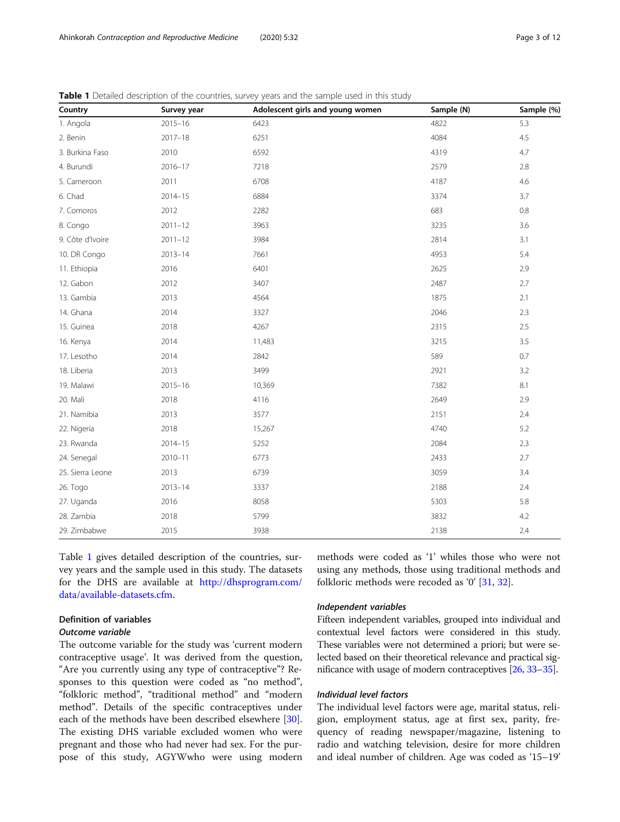| Country          | Survey year | Adolescent girls and young women | Sample (N) | Sample (%) |
|------------------|-------------|----------------------------------|------------|------------|
| 1. Angola        | $2015 - 16$ | 6423                             | 4822       | 5.3        |
| 2. Benin         | $2017 - 18$ | 6251                             | 4084       | 4.5        |
| 3. Burkina Faso  | 2010        | 6592                             | 4319       | 4.7        |
| 4. Burundi       | $2016 - 17$ | 7218                             | 2579       | 2.8        |
| 5. Cameroon      | 2011        | 6708                             | 4187       | 4.6        |
| 6. Chad          | $2014 - 15$ | 6884                             | 3374       | 3.7        |
| 7. Comoros       | 2012        | 2282                             | 683        | $0.8\,$    |
| 8. Congo         | $2011 - 12$ | 3963                             | 3235       | 3.6        |
| 9. Côte d'Ivoire | $2011 - 12$ | 3984                             | 2814       | 3.1        |
| 10. DR Congo     | $2013 - 14$ | 7661                             | 4953       | 5.4        |
| 11. Ethiopia     | 2016        | 6401                             | 2625       | 2.9        |
| 12. Gabon        | 2012        | 3407                             | 2487       | 2.7        |
| 13. Gambia       | 2013        | 4564                             | 1875       | 2.1        |
| 14. Ghana        | 2014        | 3327                             | 2046       | 2.3        |
| 15. Guinea       | 2018        | 4267                             | 2315       | 2.5        |
| 16. Kenya        | 2014        | 11,483                           | 3215       | 3.5        |
| 17. Lesotho      | 2014        | 2842                             | 589        | 0.7        |
| 18. Liberia      | 2013        | 3499                             | 2921       | 3.2        |
| 19. Malawi       | $2015 - 16$ | 10,369                           | 7382       | 8.1        |
| 20. Mali         | 2018        | 4116                             | 2649       | 2.9        |
| 21. Namibia      | 2013        | 3577                             | 2151       | 2.4        |
| 22. Nigeria      | 2018        | 15,267                           | 4740       | 5.2        |
| 23. Rwanda       | $2014 - 15$ | 5252                             | 2084       | 2.3        |
| 24. Senegal      | $2010 - 11$ | 6773                             | 2433       | 2.7        |
| 25. Sierra Leone | 2013        | 6739                             | 3059       | 3.4        |
| 26. Togo         | $2013 - 14$ | 3337                             | 2188       | 2.4        |
| 27. Uganda       | 2016        | 8058                             | 5303       | 5.8        |
| 28. Zambia       | 2018        | 5799                             | 3832       | 4.2        |
| 29. Zimbabwe     | 2015        | 3938                             | 2138       | 2.4        |

<span id="page-2-0"></span>Table 1 Detailed description of the countries, survey years and the sample used in this study

Table 1 gives detailed description of the countries, survey years and the sample used in this study. The datasets for the DHS are available at [http://dhsprogram.com/](http://dhsprogram.com/data/available-datasets.cfm) [data/available-datasets.cfm.](http://dhsprogram.com/data/available-datasets.cfm)

# Definition of variables Outcome variable

The outcome variable for the study was 'current modern contraceptive usage'. It was derived from the question, "Are you currently using any type of contraceptive"? Responses to this question were coded as "no method", "folkloric method", "traditional method" and "modern method". Details of the specific contraceptives under each of the methods have been described elsewhere [\[30](#page-10-0)]. The existing DHS variable excluded women who were pregnant and those who had never had sex. For the purpose of this study, AGYWwho were using modern methods were coded as '1' whiles those who were not using any methods, those using traditional methods and folkloric methods were recoded as '0' [\[31,](#page-10-0) [32\]](#page-10-0).

## Independent variables

Fifteen independent variables, grouped into individual and contextual level factors were considered in this study. These variables were not determined a priori; but were selected based on their theoretical relevance and practical significance with usage of modern contraceptives [\[26,](#page-10-0) [33](#page-10-0)–[35](#page-10-0)].

#### Individual level factors

The individual level factors were age, marital status, religion, employment status, age at first sex, parity, frequency of reading newspaper/magazine, listening to radio and watching television, desire for more children and ideal number of children. Age was coded as '15–19'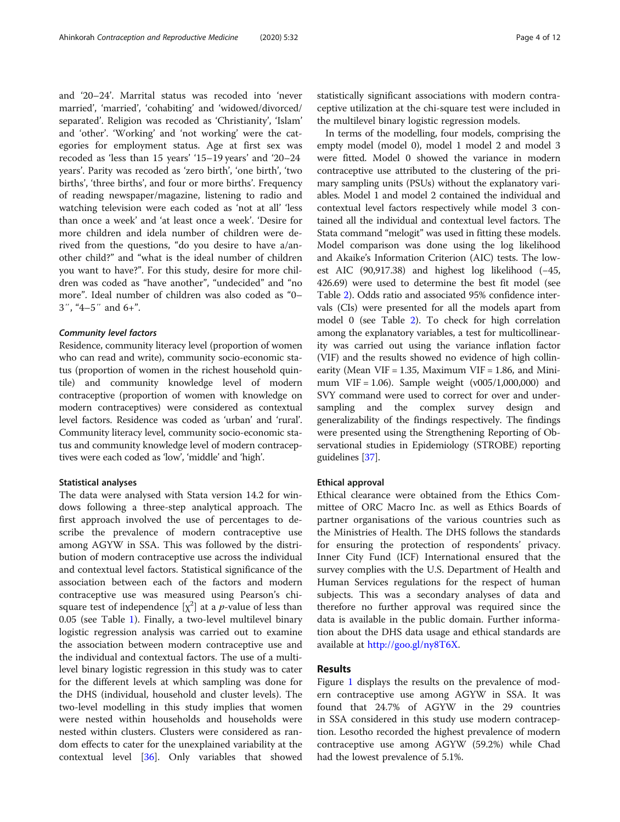and '20–24'. Marrital status was recoded into 'never married', 'married', 'cohabiting' and 'widowed/divorced/ separated'. Religion was recoded as 'Christianity', 'Islam' and 'other'. 'Working' and 'not working' were the categories for employment status. Age at first sex was recoded as 'less than 15 years' '15–19 years' and '20–24 years'. Parity was recoded as 'zero birth', 'one birth', 'two births', 'three births', and four or more births'. Frequency of reading newspaper/magazine, listening to radio and watching television were each coded as 'not at all' 'less than once a week' and 'at least once a week'. 'Desire for more children and idela number of children were derived from the questions, "do you desire to have a/another child?" and "what is the ideal number of children you want to have?". For this study, desire for more children was coded as "have another", "undecided" and "no more". Ideal number of children was also coded as "0– 3″, "4–5″ and 6+".

### Community level factors

Residence, community literacy level (proportion of women who can read and write), community socio-economic status (proportion of women in the richest household quintile) and community knowledge level of modern contraceptive (proportion of women with knowledge on modern contraceptives) were considered as contextual level factors. Residence was coded as 'urban' and 'rural'. Community literacy level, community socio-economic status and community knowledge level of modern contraceptives were each coded as 'low', 'middle' and 'high'.

#### Statistical analyses

The data were analysed with Stata version 14.2 for windows following a three-step analytical approach. The first approach involved the use of percentages to describe the prevalence of modern contraceptive use among AGYW in SSA. This was followed by the distribution of modern contraceptive use across the individual and contextual level factors. Statistical significance of the association between each of the factors and modern contraceptive use was measured using Pearson's chisquare test of independence  $[\chi^2]$  at a p-value of less than 0.05 (see Table [1](#page-2-0)). Finally, a two-level multilevel binary logistic regression analysis was carried out to examine the association between modern contraceptive use and the individual and contextual factors. The use of a multilevel binary logistic regression in this study was to cater for the different levels at which sampling was done for the DHS (individual, household and cluster levels). The two-level modelling in this study implies that women were nested within households and households were nested within clusters. Clusters were considered as random effects to cater for the unexplained variability at the contextual level [\[36](#page-10-0)]. Only variables that showed statistically significant associations with modern contraceptive utilization at the chi-square test were included in the multilevel binary logistic regression models.

In terms of the modelling, four models, comprising the empty model (model 0), model 1 model 2 and model 3 were fitted. Model 0 showed the variance in modern contraceptive use attributed to the clustering of the primary sampling units (PSUs) without the explanatory variables. Model 1 and model 2 contained the individual and contextual level factors respectively while model 3 contained all the individual and contextual level factors. The Stata command "melogit" was used in fitting these models. Model comparison was done using the log likelihood and Akaike's Information Criterion (AIC) tests. The lowest AIC (90,917.38) and highest log likelihood (−45, 426.69) were used to determine the best fit model (see Table [2](#page-4-0)). Odds ratio and associated 95% confidence intervals (CIs) were presented for all the models apart from model 0 (see Table [2](#page-4-0)). To check for high correlation among the explanatory variables, a test for multicollinearity was carried out using the variance inflation factor (VIF) and the results showed no evidence of high collinearity (Mean VIF = 1.35, Maximum VIF = 1.86, and Minimum VIF = 1.06). Sample weight (v005/1,000,000) and SVY command were used to correct for over and undersampling and the complex survey design and generalizability of the findings respectively. The findings were presented using the Strengthening Reporting of Observational studies in Epidemiology (STROBE) reporting guidelines [\[37](#page-10-0)].

### Ethical approval

Ethical clearance were obtained from the Ethics Committee of ORC Macro Inc. as well as Ethics Boards of partner organisations of the various countries such as the Ministries of Health. The DHS follows the standards for ensuring the protection of respondents' privacy. Inner City Fund (ICF) International ensured that the survey complies with the U.S. Department of Health and Human Services regulations for the respect of human subjects. This was a secondary analyses of data and therefore no further approval was required since the data is available in the public domain. Further information about the DHS data usage and ethical standards are available at <http://goo.gl/ny8T6X>.

#### Results

Figure [1](#page-5-0) displays the results on the prevalence of modern contraceptive use among AGYW in SSA. It was found that 24.7% of AGYW in the 29 countries in SSA considered in this study use modern contraception. Lesotho recorded the highest prevalence of modern contraceptive use among AGYW (59.2%) while Chad had the lowest prevalence of 5.1%.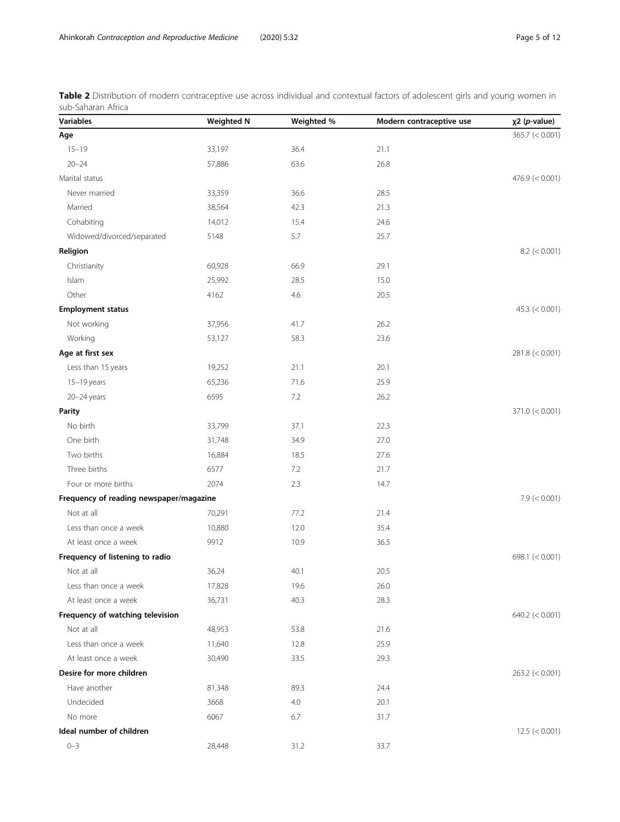<span id="page-4-0"></span>Table 2 Distribution of modern contraceptive use across individual and contextual factors of adolescent girls and young women in sub-Saharan Africa

| <b>Variables</b>                        | <b>Weighted N</b> | Weighted % | Modern contraceptive use | χ2 (p-value)        |
|-----------------------------------------|-------------------|------------|--------------------------|---------------------|
| Age                                     |                   |            |                          | 365.7 (< 0.001)     |
| $15 - 19$                               | 33,197            | 36.4       | 21.1                     |                     |
| $20 - 24$                               | 57,886            | 63.6       | 26.8                     |                     |
| Marital status                          |                   |            |                          | 476.9 $(< 0.001)$   |
| Never married                           | 33,359            | 36.6       | 28.5                     |                     |
| Married                                 | 38,564            | 42.3       | 21.3                     |                     |
| Cohabiting                              | 14,012            | 15.4       | 24.6                     |                     |
| Widowed/divorced/separated              | 5148              | 5.7        | 25.7                     |                     |
| Religion                                |                   |            |                          | 8.2 (< 0.001)       |
| Christianity                            | 60,928            | 66.9       | 29.1                     |                     |
| Islam                                   | 25,992            | 28.5       | 15.0                     |                     |
| Other                                   | 4162              | 4.6        | 20.5                     |                     |
| <b>Employment status</b>                |                   |            |                          | 45.3 $(< 0.001)$    |
| Not working                             | 37,956            | 41.7       | 26.2                     |                     |
| Working                                 | 53,127            | 58.3       | 23.6                     |                     |
| Age at first sex                        |                   |            |                          | 281.8 (< 0.001)     |
| Less than 15 years                      | 19,252            | 21.1       | 20.1                     |                     |
| $15-19$ years                           | 65,236            | 71.6       | 25.9                     |                     |
| 20-24 years                             | 6595              | 7.2        | 26.2                     |                     |
| Parity                                  |                   |            |                          | 371.0 (< 0.001)     |
| No birth                                | 33,799            | 37.1       | 22.3                     |                     |
| One birth                               | 31,748            | 34.9       | 27.0                     |                     |
| Two births                              | 16,884            | 18.5       | 27.6                     |                     |
| Three births                            | 6577              | 7.2        | 21.7                     |                     |
| Four or more births                     | 2074              | 2.3        | 14.7                     |                     |
| Frequency of reading newspaper/magazine |                   |            |                          | $7.9$ ( $< 0.001$ ) |
| Not at all                              | 70,291            | 77.2       | 21.4                     |                     |
| Less than once a week                   | 10,880            | 12.0       | 35.4                     |                     |
| At least once a week                    | 9912              | 10.9       | 36.5                     |                     |
| Frequency of listening to radio         |                   |            |                          | 698.1 $(< 0.001)$   |
| Not at all                              | 36,24             | 40.1       | 20.5                     |                     |
| Less than once a week                   | 17,828            | 19.6       | 26.0                     |                     |
| At least once a week                    | 36,731            | 40.3       | 28.3                     |                     |
| Frequency of watching television        |                   |            |                          | 640.2 (< 0.001)     |
| Not at all                              | 48,953            | 53.8       | 21.6                     |                     |
| Less than once a week                   | 11,640            | 12.8       | 25.9                     |                     |
| At least once a week                    | 30,490            | 33.5       | 29.3                     |                     |
| Desire for more children                |                   |            |                          | 263.2 (< 0.001)     |
| Have another                            | 81,348            | 89.3       | 24.4                     |                     |
| Undecided                               | 3668              | 4.0        | 20.1                     |                     |
| No more                                 | 6067              | 6.7        | 31.7                     |                     |
| Ideal number of children                |                   |            |                          | 12.5 (< 0.001)      |
| $0 - 3$                                 | 28,448            | 31.2       | 33.7                     |                     |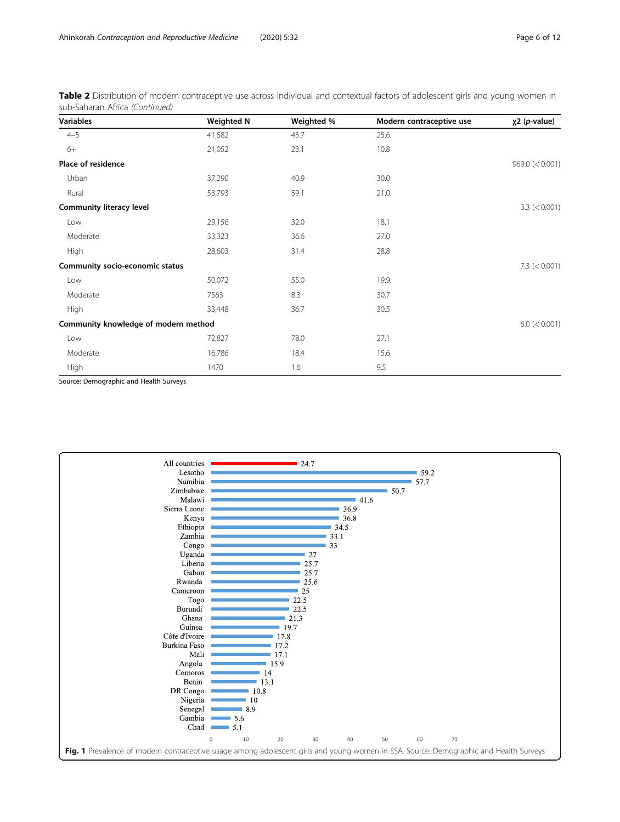<span id="page-5-0"></span>Table 2 Distribution of modern contraceptive use across individual and contextual factors of adolescent girls and young women in sub-Saharan Africa (Continued)

| <b>Variables</b>                     | <b>Weighted N</b> | Weighted % | Modern contraceptive use | $x^2$ ( <i>p</i> -value) |
|--------------------------------------|-------------------|------------|--------------------------|--------------------------|
| $4 - 5$                              | 41,582            | 45.7       | 25.6                     |                          |
| $6+$                                 | 21,052            | 23.1       | 10.8                     |                          |
| Place of residence                   |                   |            |                          | $969.0 \le 0.001$        |
| Urban                                | 37,290            | 40.9       | 30.0                     |                          |
| Rural                                | 53,793            | 59.1       | 21.0                     |                          |
| Community literacy level             |                   |            |                          | $3.3 \leq 0.001$         |
| Low                                  | 29,156            | 32.0       | 18.1                     |                          |
| Moderate                             | 33,323            | 36.6       | 27.0                     |                          |
| High                                 | 28,603            | 31.4       | 28.8                     |                          |
| Community socio-economic status      |                   |            |                          | 7.3 (< 0.001)            |
| Low                                  | 50,072            | 55.0       | 19.9                     |                          |
| Moderate                             | 7563              | 8.3        | 30.7                     |                          |
| High                                 | 33,448            | 36.7       | 30.5                     |                          |
| Community knowledge of modern method |                   |            |                          |                          |
| Low                                  | 72,827            | 78.0       | 27.1                     |                          |
| Moderate                             | 16,786            | 18.4       | 15.6                     |                          |
| High                                 | 1470              | 1.6        | 9.5                      |                          |

Source: Demographic and Health Surveys

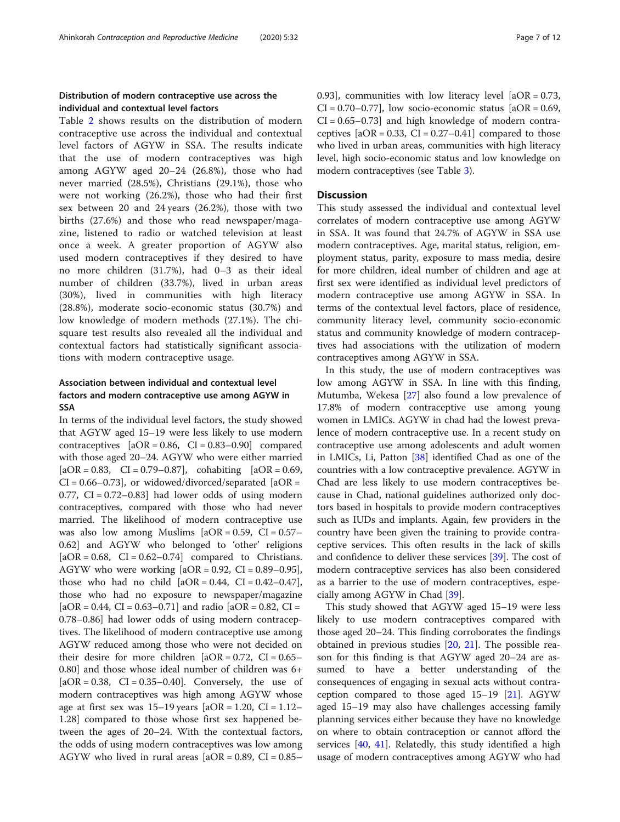# Distribution of modern contraceptive use across the individual and contextual level factors

Table [2](#page-4-0) shows results on the distribution of modern contraceptive use across the individual and contextual level factors of AGYW in SSA. The results indicate that the use of modern contraceptives was high among AGYW aged 20–24 (26.8%), those who had never married (28.5%), Christians (29.1%), those who were not working (26.2%), those who had their first sex between 20 and 24 years (26.2%), those with two births (27.6%) and those who read newspaper/magazine, listened to radio or watched television at least once a week. A greater proportion of AGYW also used modern contraceptives if they desired to have no more children (31.7%), had 0–3 as their ideal number of children (33.7%), lived in urban areas (30%), lived in communities with high literacy (28.8%), moderate socio-economic status (30.7%) and low knowledge of modern methods (27.1%). The chisquare test results also revealed all the individual and contextual factors had statistically significant associations with modern contraceptive usage.

# Association between individual and contextual level factors and modern contraceptive use among AGYW in SSA

In terms of the individual level factors, the study showed that AGYW aged 15–19 were less likely to use modern contraceptives  $[aOR = 0.86, CI = 0.83-0.90]$  compared with those aged 20–24. AGYW who were either married  $[aOR = 0.83, CI = 0.79 - 0.87],$  cohabiting  $[aOR = 0.69,$  $CI = 0.66 - 0.73$ , or widowed/divorced/separated [aOR = 0.77,  $CI = 0.72 - 0.83$ ] had lower odds of using modern contraceptives, compared with those who had never married. The likelihood of modern contraceptive use was also low among Muslims  $[aOR = 0.59, CI = 0.57-$ 0.62] and AGYW who belonged to 'other' religions  $[aOR = 0.68, CI = 0.62-0.74]$  compared to Christians. AGYW who were working  $[4OR = 0.92, CI = 0.89 - 0.95]$ , those who had no child  $[aOR = 0.44, CI = 0.42 - 0.47]$ , those who had no exposure to newspaper/magazine  $[aOR = 0.44, CI = 0.63 - 0.71]$  and radio  $[aOR = 0.82, CI =$ 0.78–0.86] had lower odds of using modern contraceptives. The likelihood of modern contraceptive use among AGYW reduced among those who were not decided on their desire for more children  $[aOR = 0.72, CI = 0.65-$ 0.80] and those whose ideal number of children was 6+  $[aOR = 0.38, CI = 0.35-0.40]$ . Conversely, the use of modern contraceptives was high among AGYW whose age at first sex was  $15-19$  years  $[aOR = 1.20, CI = 1.12-$ 1.28] compared to those whose first sex happened between the ages of 20–24. With the contextual factors, the odds of using modern contraceptives was low among AGYW who lived in rural areas  $[4]$ aOR = 0.89, CI = 0.85–

0.93], communities with low literacy level  $[aOR = 0.73,$  $CI = 0.70 - 0.77$ , low socio-economic status  $[aOR = 0.69,$  $CI = 0.65 - 0.73$ ] and high knowledge of modern contraceptives  $[4OR = 0.33, CI = 0.27 - 0.41]$  compared to those who lived in urban areas, communities with high literacy level, high socio-economic status and low knowledge on modern contraceptives (see Table [3\)](#page-7-0).

#### **Discussion**

This study assessed the individual and contextual level correlates of modern contraceptive use among AGYW in SSA. It was found that 24.7% of AGYW in SSA use modern contraceptives. Age, marital status, religion, employment status, parity, exposure to mass media, desire for more children, ideal number of children and age at first sex were identified as individual level predictors of modern contraceptive use among AGYW in SSA. In terms of the contextual level factors, place of residence, community literacy level, community socio-economic status and community knowledge of modern contraceptives had associations with the utilization of modern contraceptives among AGYW in SSA.

In this study, the use of modern contraceptives was low among AGYW in SSA. In line with this finding, Mutumba, Wekesa [[27\]](#page-10-0) also found a low prevalence of 17.8% of modern contraceptive use among young women in LMICs. AGYW in chad had the lowest prevalence of modern contraceptive use. In a recent study on contraceptive use among adolescents and adult women in LMICs, Li, Patton [[38\]](#page-10-0) identified Chad as one of the countries with a low contraceptive prevalence. AGYW in Chad are less likely to use modern contraceptives because in Chad, national guidelines authorized only doctors based in hospitals to provide modern contraceptives such as IUDs and implants. Again, few providers in the country have been given the training to provide contraceptive services. This often results in the lack of skills and confidence to deliver these services [[39](#page-10-0)]. The cost of modern contraceptive services has also been considered as a barrier to the use of modern contraceptives, especially among AGYW in Chad [\[39\]](#page-10-0).

This study showed that AGYW aged 15–19 were less likely to use modern contraceptives compared with those aged 20–24. This finding corroborates the findings obtained in previous studies [\[20](#page-10-0), [21](#page-10-0)]. The possible reason for this finding is that AGYW aged 20–24 are assumed to have a better understanding of the consequences of engaging in sexual acts without contraception compared to those aged 15–19 [\[21](#page-10-0)]. AGYW aged 15–19 may also have challenges accessing family planning services either because they have no knowledge on where to obtain contraception or cannot afford the services [[40,](#page-10-0) [41](#page-10-0)]. Relatedly, this study identified a high usage of modern contraceptives among AGYW who had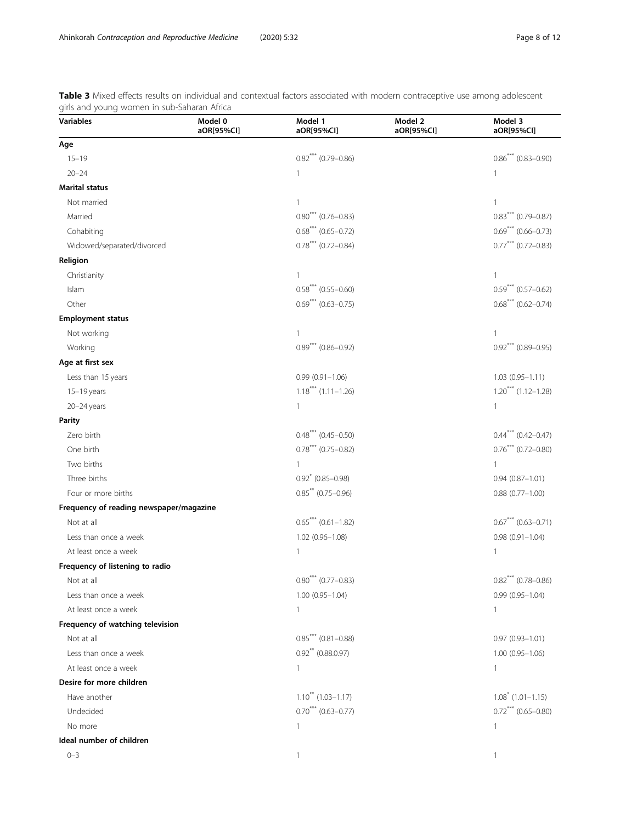<span id="page-7-0"></span>Table 3 Mixed effects results on individual and contextual factors associated with modern contraceptive use among adolescent girls and young women in sub-Saharan Africa

| gins and young women in sab sa<br><b>Variables</b> | Model 0<br>aOR[95%CI] | Model 1<br>aOR[95%CI]            | Model 2<br>aOR[95%CI] | Model 3<br>aOR[95%CI]           |
|----------------------------------------------------|-----------------------|----------------------------------|-----------------------|---------------------------------|
| Age                                                |                       |                                  |                       |                                 |
| $15 - 19$                                          |                       | $0.82***$ (0.79-0.86)            |                       | $0.86***$ (0.83-0.90)           |
| $20 - 24$                                          |                       | $\mathbf{1}$                     |                       | 1                               |
| <b>Marital status</b>                              |                       |                                  |                       |                                 |
| Not married                                        |                       | $\mathbf{1}$                     |                       | 1                               |
| Married                                            |                       | $0.80^{***}$ (0.76-0.83)         |                       | $0.83***$ (0.79-0.87)           |
| Cohabiting                                         |                       | $0.68***$ (0.65-0.72)            |                       | $0.69***$ (0.66-0.73)           |
| Widowed/separated/divorced                         |                       | $0.78***$ (0.72-0.84)            |                       | $0.77***$ (0.72-0.83)           |
| Religion                                           |                       |                                  |                       |                                 |
| Christianity                                       |                       | -1                               |                       | 1                               |
| Islam                                              |                       | $0.58***$ (0.55-0.60)            |                       | $0.59***$ (0.57-0.62)           |
| Other                                              |                       | $0.69***$ $(0.63-0.75)$          |                       | $0.68$ *** (0.62-0.74)          |
| <b>Employment status</b>                           |                       |                                  |                       |                                 |
| Not working                                        |                       |                                  |                       |                                 |
| Working                                            |                       | $0.89***$ (0.86-0.92)            |                       | $0.92***$ (0.89-0.95)           |
| Age at first sex                                   |                       |                                  |                       |                                 |
| Less than 15 years                                 |                       | $0.99(0.91 - 1.06)$              |                       | $1.03(0.95 - 1.11)$             |
| $15-19$ years                                      |                       | $1.18***$ (1.11-1.26)            |                       | $1.20***$ (1.12-1.28)           |
| 20-24 years                                        |                       | 1                                |                       | $\mathbf{1}$                    |
| Parity                                             |                       |                                  |                       |                                 |
| Zero birth                                         |                       | $0.48***$ (0.45-0.50)            |                       | $0.44***$ (0.42-0.47)           |
| One birth                                          |                       | $0.78***$ (0.75-0.82)            |                       | $0.76***$ (0.72-0.80)           |
| Two births                                         |                       |                                  |                       | $\mathbf{1}$                    |
| Three births                                       |                       | $0.92^*$ (0.85-0.98)             |                       | $0.94(0.87 - 1.01)$             |
| Four or more births                                |                       | $0.85$ <sup>**</sup> (0.75-0.96) |                       | $0.88$ $(0.77-1.00)$            |
| Frequency of reading newspaper/magazine            |                       |                                  |                       |                                 |
| Not at all                                         |                       | $0.65***$ (0.61-1.82)            |                       | $0.67***$ $(0.63-0.71)$         |
| Less than once a week                              |                       | 1.02 (0.96-1.08)                 |                       | $0.98(0.91 - 1.04)$             |
| At least once a week                               |                       | $\mathbf{1}$                     |                       | $\mathbf{1}$                    |
| Frequency of listening to radio                    |                       |                                  |                       |                                 |
| Not at all                                         |                       | $0.80***$ (0.77-0.83)            |                       | $0.82***$ (0.78-0.86)           |
| Less than once a week                              |                       | $1.00(0.95 - 1.04)$              |                       | $0.99(0.95 - 1.04)$             |
| At least once a week                               |                       | -1                               |                       | $\mathbf{1}$                    |
| Frequency of watching television                   |                       |                                  |                       |                                 |
| Not at all                                         |                       | $0.85***$ (0.81-0.88)            |                       | $0.97(0.93 - 1.01)$             |
| Less than once a week                              |                       | $0.92$ <sup>**</sup> (0.88.0.97) |                       | $1.00(0.95 - 1.06)$             |
| At least once a week                               |                       | $\mathbf{1}$                     |                       | $\mathbf{1}$                    |
| Desire for more children                           |                       |                                  |                       |                                 |
| Have another                                       |                       | $1.10^{**}$ (1.03-1.17)          |                       | $1.08$ <sup>*</sup> (1.01-1.15) |
| Undecided                                          |                       | $0.70***$ (0.63-0.77)            |                       | $0.72***$ (0.65-0.80)           |
| No more                                            |                       | 1                                |                       | 1                               |
| Ideal number of children                           |                       |                                  |                       |                                 |
| $0 - 3$                                            |                       |                                  |                       | 1                               |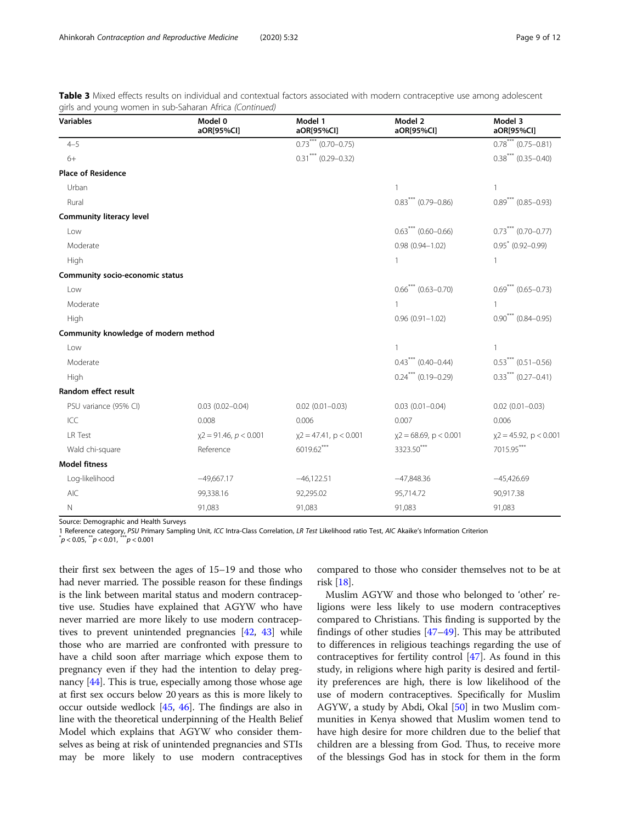Table 3 Mixed effects results on individual and contextual factors associated with modern contraceptive use among adolescent girls and young women in sub-Saharan Africa (Continued)

| <b>Variables</b>                     | Model 0<br>aOR[95%CI]      | Model 1<br>aOR[95%CI]      | Model 2<br>aOR[95%Cl]             | Model 3<br>aOR[95%Cl]           |
|--------------------------------------|----------------------------|----------------------------|-----------------------------------|---------------------------------|
| $4 - 5$                              |                            | $0.73***$ $(0.70-0.75)$    |                                   | $0.78***$ $(0.75-0.81)$         |
| $6+$                                 |                            | $0.31***$ (0.29-0.32)      |                                   | $0.38***$ (0.35-0.40)           |
| <b>Place of Residence</b>            |                            |                            |                                   |                                 |
| Urban                                |                            |                            |                                   |                                 |
| Rural                                |                            |                            | $0.83***$ (0.79-0.86)             | $0.89***$ (0.85-0.93)           |
| <b>Community literacy level</b>      |                            |                            |                                   |                                 |
| Low                                  |                            |                            | $0.63***$ (0.60-0.66)             | $0.73***$ (0.70-0.77)           |
| Moderate                             |                            |                            | $0.98(0.94 - 1.02)$               | $0.95$ <sup>*</sup> (0.92-0.99) |
| High                                 |                            |                            | 1                                 | -1                              |
| Community socio-economic status      |                            |                            |                                   |                                 |
| Low                                  |                            |                            | $0.66$ <sup>***</sup> (0.63-0.70) | $0.69***$ $(0.65-0.73)$         |
| Moderate                             |                            |                            |                                   |                                 |
| High                                 |                            |                            | $0.96(0.91 - 1.02)$               | $0.90***$ $(0.84-0.95)$         |
| Community knowledge of modern method |                            |                            |                                   |                                 |
| Low                                  |                            |                            |                                   |                                 |
| Moderate                             |                            |                            | $0.43***$ (0.40-0.44)             | $0.53***$ (0.51-0.56)           |
| High                                 |                            |                            | $0.24***$ (0.19-0.29)             | $0.33***$ (0.27-0.41)           |
| <b>Random effect result</b>          |                            |                            |                                   |                                 |
| PSU variance (95% CI)                | $0.03(0.02 - 0.04)$        | $0.02$ (0.01-0.03)         | $0.03$ $(0.01 - 0.04)$            | $0.02$ $(0.01 - 0.03)$          |
| ICC                                  | 0.008                      | 0.006                      | 0.007                             | 0.006                           |
| LR Test                              | $x2 = 91.46$ , $p < 0.001$ | $x2 = 47.41$ , $p < 0.001$ | $\chi$ 2 = 68.69, p < 0.001       | $x2 = 45.92$ , $p < 0.001$      |
| Wald chi-square                      | Reference                  | 6019.62***                 | 3323.50***                        | 7015.95***                      |
| <b>Model fitness</b>                 |                            |                            |                                   |                                 |
| Log-likelihood                       | $-49,667.17$               | $-46,122.51$               | $-47,848.36$                      | $-45,426.69$                    |
| <b>AIC</b>                           | 99,338.16                  | 92,295.02                  | 95,714.72                         | 90,917.38                       |
| $\mathsf{N}$                         | 91,083                     | 91,083                     | 91,083                            | 91,083                          |

Source: Demographic and Health Surveys

1 Reference category, PSU Primary Sampling Unit, ICC Intra-Class Correlation, LR Test Likelihood ratio Test, AIC Akaike's Information Criterion

 $p < 0.05$ ,  $p < 0.01$ ,  $p < 0.001$ 

their first sex between the ages of 15–19 and those who had never married. The possible reason for these findings is the link between marital status and modern contraceptive use. Studies have explained that AGYW who have never married are more likely to use modern contraceptives to prevent unintended pregnancies [[42](#page-10-0), [43](#page-10-0)] while those who are married are confronted with pressure to have a child soon after marriage which expose them to pregnancy even if they had the intention to delay pregnancy [\[44\]](#page-11-0). This is true, especially among those whose age at first sex occurs below 20 years as this is more likely to occur outside wedlock [\[45,](#page-11-0) [46\]](#page-11-0). The findings are also in line with the theoretical underpinning of the Health Belief Model which explains that AGYW who consider themselves as being at risk of unintended pregnancies and STIs may be more likely to use modern contraceptives compared to those who consider themselves not to be at risk [\[18\]](#page-10-0).

Muslim AGYW and those who belonged to 'other' religions were less likely to use modern contraceptives compared to Christians. This finding is supported by the findings of other studies  $[47-49]$  $[47-49]$  $[47-49]$  $[47-49]$  $[47-49]$ . This may be attributed to differences in religious teachings regarding the use of contraceptives for fertility control [\[47](#page-11-0)]. As found in this study, in religions where high parity is desired and fertility preferences are high, there is low likelihood of the use of modern contraceptives. Specifically for Muslim AGYW, a study by Abdi, Okal [[50\]](#page-11-0) in two Muslim communities in Kenya showed that Muslim women tend to have high desire for more children due to the belief that children are a blessing from God. Thus, to receive more of the blessings God has in stock for them in the form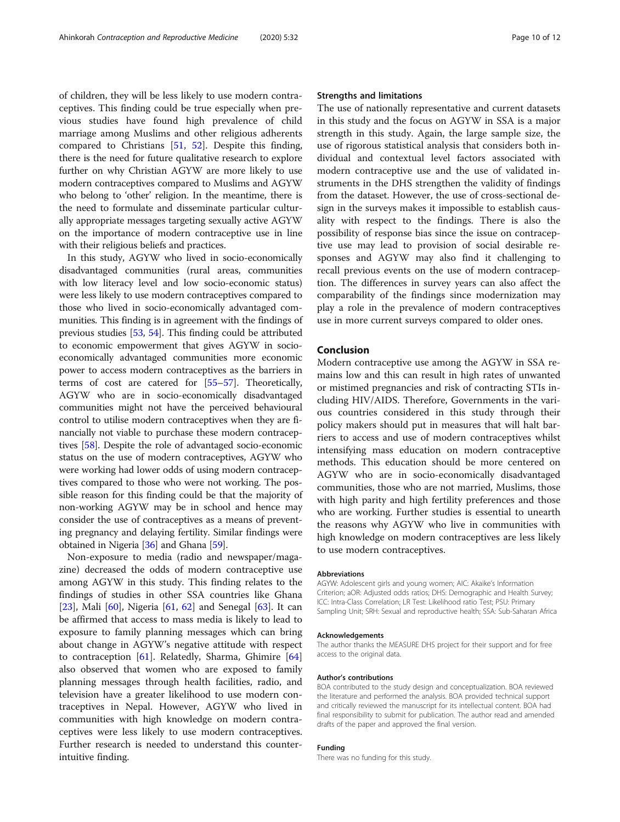of children, they will be less likely to use modern contraceptives. This finding could be true especially when previous studies have found high prevalence of child marriage among Muslims and other religious adherents compared to Christians [[51,](#page-11-0) [52](#page-11-0)]. Despite this finding, there is the need for future qualitative research to explore further on why Christian AGYW are more likely to use modern contraceptives compared to Muslims and AGYW who belong to 'other' religion. In the meantime, there is the need to formulate and disseminate particular culturally appropriate messages targeting sexually active AGYW on the importance of modern contraceptive use in line with their religious beliefs and practices.

In this study, AGYW who lived in socio-economically disadvantaged communities (rural areas, communities with low literacy level and low socio-economic status) were less likely to use modern contraceptives compared to those who lived in socio-economically advantaged communities. This finding is in agreement with the findings of previous studies [[53](#page-11-0), [54](#page-11-0)]. This finding could be attributed to economic empowerment that gives AGYW in socioeconomically advantaged communities more economic power to access modern contraceptives as the barriers in terms of cost are catered for [\[55](#page-11-0)–[57](#page-11-0)]. Theoretically, AGYW who are in socio-economically disadvantaged communities might not have the perceived behavioural control to utilise modern contraceptives when they are financially not viable to purchase these modern contraceptives [\[58\]](#page-11-0). Despite the role of advantaged socio-economic status on the use of modern contraceptives, AGYW who were working had lower odds of using modern contraceptives compared to those who were not working. The possible reason for this finding could be that the majority of non-working AGYW may be in school and hence may consider the use of contraceptives as a means of preventing pregnancy and delaying fertility. Similar findings were obtained in Nigeria [\[36\]](#page-10-0) and Ghana [\[59\]](#page-11-0).

Non-exposure to media (radio and newspaper/magazine) decreased the odds of modern contraceptive use among AGYW in this study. This finding relates to the findings of studies in other SSA countries like Ghana [[23\]](#page-10-0), Mali  $[60]$  $[60]$ , Nigeria  $[61, 62]$  $[61, 62]$  $[61, 62]$  and Senegal  $[63]$  $[63]$  $[63]$ . It can be affirmed that access to mass media is likely to lead to exposure to family planning messages which can bring about change in AGYW's negative attitude with respect to contraception [\[61\]](#page-11-0). Relatedly, Sharma, Ghimire [[64](#page-11-0)] also observed that women who are exposed to family planning messages through health facilities, radio, and television have a greater likelihood to use modern contraceptives in Nepal. However, AGYW who lived in communities with high knowledge on modern contraceptives were less likely to use modern contraceptives. Further research is needed to understand this counterintuitive finding.

#### Strengths and limitations

The use of nationally representative and current datasets in this study and the focus on AGYW in SSA is a major strength in this study. Again, the large sample size, the use of rigorous statistical analysis that considers both individual and contextual level factors associated with modern contraceptive use and the use of validated instruments in the DHS strengthen the validity of findings from the dataset. However, the use of cross-sectional design in the surveys makes it impossible to establish causality with respect to the findings. There is also the possibility of response bias since the issue on contraceptive use may lead to provision of social desirable responses and AGYW may also find it challenging to recall previous events on the use of modern contraception. The differences in survey years can also affect the comparability of the findings since modernization may play a role in the prevalence of modern contraceptives use in more current surveys compared to older ones.

### Conclusion

Modern contraceptive use among the AGYW in SSA remains low and this can result in high rates of unwanted or mistimed pregnancies and risk of contracting STIs including HIV/AIDS. Therefore, Governments in the various countries considered in this study through their policy makers should put in measures that will halt barriers to access and use of modern contraceptives whilst intensifying mass education on modern contraceptive methods. This education should be more centered on AGYW who are in socio-economically disadvantaged communities, those who are not married, Muslims, those with high parity and high fertility preferences and those who are working. Further studies is essential to unearth the reasons why AGYW who live in communities with high knowledge on modern contraceptives are less likely to use modern contraceptives.

#### Abbreviations

AGYW: Adolescent girls and young women; AIC: Akaike's Information Criterion; aOR: Adjusted odds ratios; DHS: Demographic and Health Survey; ICC: Intra-Class Correlation; LR Test: Likelihood ratio Test; PSU: Primary Sampling Unit; SRH: Sexual and reproductive health; SSA: Sub-Saharan Africa

#### Acknowledgements

The author thanks the MEASURE DHS project for their support and for free access to the original data.

#### Author's contributions

BOA contributed to the study design and conceptualization. BOA reviewed the literature and performed the analysis. BOA provided technical support and critically reviewed the manuscript for its intellectual content. BOA had final responsibility to submit for publication. The author read and amended drafts of the paper and approved the final version.

#### Funding

There was no funding for this study.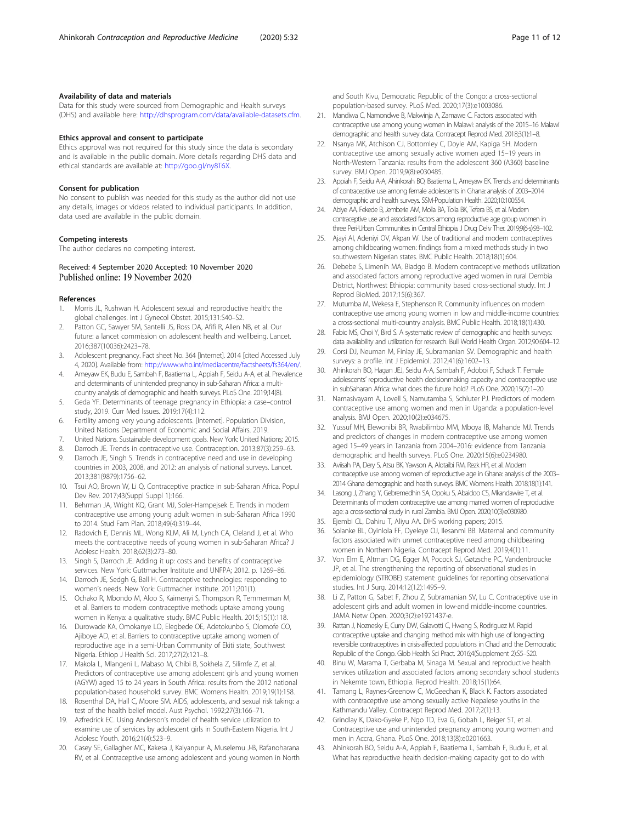#### <span id="page-10-0"></span>Availability of data and materials

Data for this study were sourced from Demographic and Health surveys (DHS) and available here: [http://dhsprogram.com/data/available-datasets.cfm.](http://dhsprogram.com/data/available-datasets.cfm)

#### Ethics approval and consent to participate

Ethics approval was not required for this study since the data is secondary and is available in the public domain. More details regarding DHS data and ethical standards are available at: [http://goo.gl/ny8T6X.](http://goo.gl/ny8T6X)

#### Consent for publication

No consent to publish was needed for this study as the author did not use any details, images or videos related to individual participants. In addition, data used are available in the public domain.

#### Competing interests

The author declares no competing interest.

# Received: 4 September 2020 Accepted: 10 November 2020

#### References

- 1. Morris JL, Rushwan H. Adolescent sexual and reproductive health: the global challenges. Int J Gynecol Obstet. 2015;131:S40–S2.
- Patton GC, Sawyer SM, Santelli JS, Ross DA, Afifi R, Allen NB, et al. Our future: a lancet commission on adolescent health and wellbeing. Lancet. 2016;387(10036):2423–78.
- 3. Adolescent pregnancy. Fact sheet No. 364 [Internet]. 2014 [cited Accessed July 4, 2020]. Available from: <http://www.who.int/mediacentre/factsheets/fs364/en/>.
- 4. Ameyaw EK, Budu E, Sambah F, Baatiema L, Appiah F, Seidu A-A, et al. Prevalence and determinants of unintended pregnancy in sub-Saharan Africa: a multicountry analysis of demographic and health surveys. PLoS One. 2019;14(8).
- 5. Geda YF. Determinants of teenage pregnancy in Ethiopia: a case–control study, 2019. Curr Med Issues. 2019;17(4):112.
- 6. Fertility among very young adolescents. [Internet]. Population Division, United Nations Department of Economic and Social Affairs. 2019.
- 7. United Nations. Sustainable development goals. New York: United Nations; 2015.
- 8. Darroch JE. Trends in contraceptive use. Contraception. 2013;87(3):259–63.
- 9. Darroch JE, Singh S. Trends in contraceptive need and use in developing countries in 2003, 2008, and 2012: an analysis of national surveys. Lancet. 2013;381(9879):1756–62.
- 10. Tsui AO, Brown W, Li Q. Contraceptive practice in sub-Saharan Africa. Popul Dev Rev. 2017;43(Suppl Suppl 1):166.
- 11. Behrman JA, Wright KQ, Grant MJ, Soler-Hampejsek E. Trends in modern contraceptive use among young adult women in sub-Saharan Africa 1990 to 2014. Stud Fam Plan. 2018;49(4):319–44.
- 12. Radovich E, Dennis ML, Wong KLM, Ali M, Lynch CA, Cleland J, et al. Who meets the contraceptive needs of young women in sub-Saharan Africa? J Adolesc Health. 2018;62(3):273–80.
- 13. Singh S, Darroch JE. Adding it up: costs and benefits of contraceptive services. New York: Guttmacher Institute and UNFPA; 2012. p. 1269–86.
- 14. Darroch JE, Sedgh G, Ball H. Contraceptive technologies: responding to women's needs. New York: Guttmacher Institute. 2011;201(1).
- 15. Ochako R, Mbondo M, Aloo S, Kaimenyi S, Thompson R, Temmerman M, et al. Barriers to modern contraceptive methods uptake among young women in Kenya: a qualitative study. BMC Public Health. 2015;15(1):118.
- 16. Durowade KA, Omokanye LO, Elegbede OE, Adetokunbo S, Olomofe CO, Ajiboye AD, et al. Barriers to contraceptive uptake among women of reproductive age in a semi-Urban Community of Ekiti state, Southwest Nigeria. Ethiop J Health Sci. 2017;27(2):121–8.
- 17. Makola L, Mlangeni L, Mabaso M, Chibi B, Sokhela Z, Silimfe Z, et al. Predictors of contraceptive use among adolescent girls and young women (AGYW) aged 15 to 24 years in South Africa: results from the 2012 national population-based household survey. BMC Womens Health. 2019;19(1):158.
- 18. Rosenthal DA, Hall C, Moore SM. AIDS, adolescents, and sexual risk taking: a test of the health belief model. Aust Psychol. 1992;27(3):166–71.
- 19. Azfredrick EC. Using Anderson's model of health service utilization to examine use of services by adolescent girls in South-Eastern Nigeria. Int J Adolesc Youth. 2016;21(4):523–9.
- 20. Casey SE, Gallagher MC, Kakesa J, Kalyanpur A, Muselemu J-B, Rafanoharana RV, et al. Contraceptive use among adolescent and young women in North

and South Kivu, Democratic Republic of the Congo: a cross-sectional population-based survey. PLoS Med. 2020;17(3):e1003086.

- 21. Mandiwa C, Namondwe B, Makwinja A, Zamawe C. Factors associated with contraceptive use among young women in Malawi: analysis of the 2015–16 Malawi demographic and health survey data. Contracept Reprod Med. 2018;3(1):1–8.
- 22. Nsanya MK, Atchison CJ, Bottomley C, Doyle AM, Kapiga SH. Modern contraceptive use among sexually active women aged 15–19 years in North-Western Tanzania: results from the adolescent 360 (A360) baseline survey. BMJ Open. 2019;9(8):e030485.
- 23. Appiah F, Seidu A-A, Ahinkorah BO, Baatiema L, Ameyaw EK. Trends and determinants of contraceptive use among female adolescents in Ghana: analysis of 2003–2014 demographic and health surveys. SSM-Population Health. 2020;10:100554.
- 24. Abiye AA, Fekede B, Jemberie AM, Molla BA, Tolla BK, Tefera BS, et al. Modern contraceptive use and associated factors among reproductive age group women in three Peri-Urban Communities in Central Ethiopia. J Drug Deliv Ther. 2019;9(6-s):93-102.
- 25. Ajayi AI, Adeniyi OV, Akpan W. Use of traditional and modern contraceptives among childbearing women: findings from a mixed methods study in two southwestern Nigerian states. BMC Public Health. 2018;18(1):604.
- 26. Debebe S, Limenih MA, Biadgo B. Modern contraceptive methods utilization and associated factors among reproductive aged women in rural Dembia District, Northwest Ethiopia: community based cross-sectional study. Int J Reprod BioMed. 2017;15(6):367.
- 27. Mutumba M, Wekesa E, Stephenson R. Community influences on modern contraceptive use among young women in low and middle-income countries: a cross-sectional multi-country analysis. BMC Public Health. 2018;18(1):430.
- 28. Fabic MS, Choi Y, Bird S. A systematic review of demographic and health surveys: data availability and utilization for research. Bull World Health Organ. 2012;90:604–12.
- 29. Corsi DJ, Neuman M, Finlay JE, Subramanian SV. Demographic and health surveys: a profile. Int J Epidemiol. 2012;41(6):1602–13.
- 30. Ahinkorah BO, Hagan JEJ, Seidu A-A, Sambah F, Adoboi F, Schack T. Female adolescents' reproductive health decisionmaking capacity and contraceptive use in subSaharan Africa: what does the future hold? PLoS One. 2020;15(7):1–20.
- 31. Namasivayam A, Lovell S, Namutamba S, Schluter PJ. Predictors of modern contraceptive use among women and men in Uganda: a population-level analysis. BMJ Open. 2020;10(2):e034675.
- 32. Yussuf MH, Elewonibi BR, Rwabilimbo MM, Mboya IB, Mahande MJ. Trends and predictors of changes in modern contraceptive use among women aged 15–49 years in Tanzania from 2004–2016: evidence from Tanzania demographic and health surveys. PLoS One. 2020;15(6):e0234980.
- 33. Aviisah PA, Dery S, Atsu BK, Yawson A, Alotaibi RM, Rezk HR, et al. Modern contraceptive use among women of reproductive age in Ghana: analysis of the 2003– 2014 Ghana demographic and health surveys. BMC Womens Health. 2018;18(1):141.
- 34. Lasong J, Zhang Y, Gebremedhin SA, Opoku S, Abaidoo CS, Mkandawire T, et al. Determinants of modern contraceptive use among married women of reproductive age: a cross-sectional study in rural Zambia. BMJ Open. 2020;10(3):e030980.
- 35. Ejembi CL, Dahiru T, Aliyu AA. DHS working papers; 2015.
- Solanke BL, Oyinlola FF, Oyeleye OJ, Ilesanmi BB. Maternal and community factors associated with unmet contraceptive need among childbearing women in Northern Nigeria. Contracept Reprod Med. 2019;4(1):11.
- 37. Von Elm E, Altman DG, Egger M, Pocock SJ, Gøtzsche PC, Vandenbroucke JP, et al. The strengthening the reporting of observational studies in epidemiology (STROBE) statement: guidelines for reporting observational studies. Int J Surg. 2014;12(12):1495–9.
- 38. Li Z, Patton G, Sabet F, Zhou Z, Subramanian SV, Lu C. Contraceptive use in adolescent girls and adult women in low-and middle-income countries. JAMA Netw Open. 2020;3(2):e1921437-e.
- 39. Rattan J, Noznesky E, Curry DW, Galavotti C, Hwang S, Rodriguez M. Rapid contraceptive uptake and changing method mix with high use of long-acting reversible contraceptives in crisis-affected populations in Chad and the Democratic Republic of the Congo. Glob Health Sci Pract. 2016;4(Supplement 2):S5–S20.
- 40. Binu W, Marama T, Gerbaba M, Sinaga M. Sexual and reproductive health services utilization and associated factors among secondary school students in Nekemte town, Ethiopia. Reprod Health. 2018;15(1):64.
- 41. Tamang L, Raynes-Greenow C, McGeechan K, Black K. Factors associated with contraceptive use among sexually active Nepalese youths in the Kathmandu Valley. Contracept Reprod Med. 2017;2(1):13.
- 42. Grindlay K, Dako-Gyeke P, Ngo TD, Eva G, Gobah L, Reiger ST, et al. Contraceptive use and unintended pregnancy among young women and men in Accra, Ghana. PLoS One. 2018;13(8):e0201663.
- 43. Ahinkorah BO, Seidu A-A, Appiah F, Baatiema L, Sambah F, Budu E, et al. What has reproductive health decision-making capacity got to do with